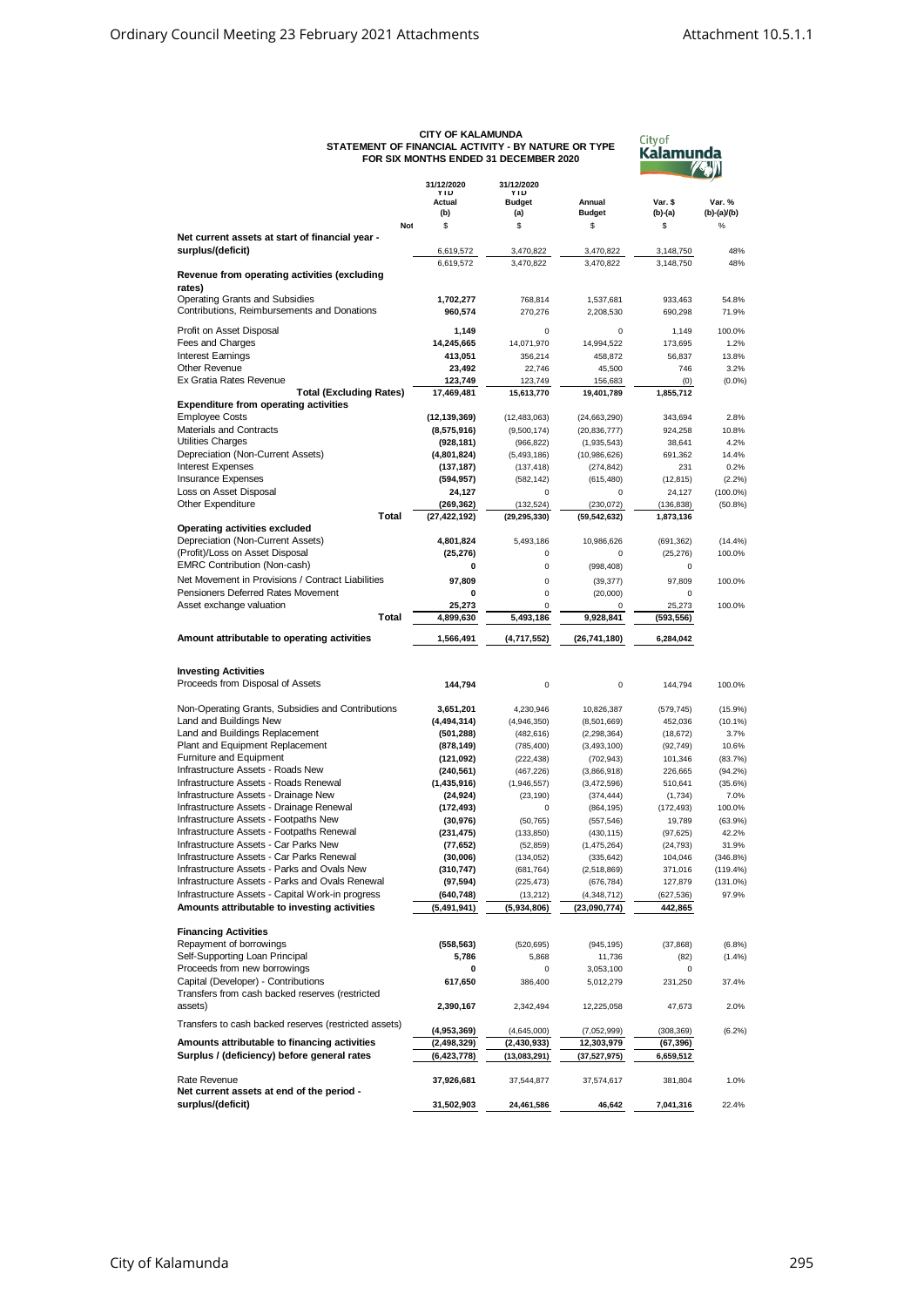| <b>CITY OF KALAMUNDA</b>                            |
|-----------------------------------------------------|
| STATEMENT OF FINANCIAL ACTIVITY - BY NATURE OR TYPE |
| FOR SIX MONTHS ENDED 31 DECEMBER 2020               |



|                                                                                          | 31/12/2020                   | 31/12/2020               |                             |                         |                      |
|------------------------------------------------------------------------------------------|------------------------------|--------------------------|-----------------------------|-------------------------|----------------------|
|                                                                                          | <b>YTD</b><br>Actual         | YTD<br><b>Budget</b>     | Annual                      | Var. \$                 | Var. %               |
|                                                                                          | (b)                          | (a)                      | <b>Budget</b>               | (b)-(a)                 | (b)-(a)/(b)          |
| Not                                                                                      | \$                           | \$                       | \$                          | \$                      | %                    |
| Net current assets at start of financial year -                                          |                              |                          |                             |                         |                      |
| surplus/(deficit)                                                                        | 6,619,572                    | 3,470,822                | 3,470,822                   | 3,148,750               | 48%                  |
| Revenue from operating activities (excluding                                             | 6,619,572                    | 3,470,822                | 3,470,822                   | 3,148,750               | 48%                  |
| rates)                                                                                   |                              |                          |                             |                         |                      |
| <b>Operating Grants and Subsidies</b>                                                    | 1,702,277                    | 768,814                  | 1,537,681                   | 933,463                 | 54.8%                |
| Contributions, Reimbursements and Donations                                              | 960,574                      | 270,276                  | 2,208,530                   | 690,298                 | 71.9%                |
| Profit on Asset Disposal                                                                 | 1,149                        | 0                        | $\mathbf 0$                 | 1,149                   | 100.0%               |
| Fees and Charges                                                                         | 14,245,665                   | 14,071,970               | 14,994,522                  | 173,695                 | 1.2%                 |
| Interest Earnings                                                                        | 413,051                      | 356,214                  | 458,872                     | 56,837                  | 13.8%                |
| Other Revenue                                                                            | 23,492                       | 22,746                   | 45,500                      | 746                     | 3.2%                 |
| Ex Gratia Rates Revenue                                                                  | 123,749                      | 123,749                  | 156,683                     | (0)                     | (0.0%                |
| <b>Total (Excluding Rates)</b>                                                           | 17,469,481                   | 15,613,770               | 19,401,789                  | 1,855,712               |                      |
| <b>Expenditure from operating activities</b><br><b>Employee Costs</b>                    | (12, 139, 369)               | (12, 483, 063)           | (24, 663, 290)              | 343,694                 | 2.8%                 |
| <b>Materials and Contracts</b>                                                           | (8,575,916)                  | (9,500,174)              | (20, 836, 777)              | 924,258                 | 10.8%                |
| Utilities Charges                                                                        | (928, 181)                   | (966, 822)               | (1,935,543)                 | 38,641                  | 4.2%                 |
| Depreciation (Non-Current Assets)                                                        | (4,801,824)                  | (5,493,186)              | (10,986,626)                | 691,362                 | 14.4%                |
| <b>Interest Expenses</b>                                                                 | (137, 187)                   | (137, 418)               | (274, 842)                  | 231                     | 0.2%                 |
| <b>Insurance Expenses</b>                                                                | (594, 957)                   | (582, 142)               | (615, 480)                  | (12, 815)               | (2.2%)               |
| Loss on Asset Disposal                                                                   | 24,127                       | 0                        | 0                           | 24,127                  | $(100.0\%)$          |
| Other Expenditure<br>Total                                                               | (269, 362)<br>(27, 422, 192) | (132, 524)               | (230, 072)                  | (136, 838)<br>1,873,136 | (50.8%)              |
| Operating activities excluded                                                            |                              | (29, 295, 330)           | (59, 542, 632)              |                         |                      |
| Depreciation (Non-Current Assets)                                                        | 4,801,824                    | 5,493,186                | 10.986.626                  | (691, 362)              | (14.4%               |
| (Profit)/Loss on Asset Disposal                                                          | (25, 276)                    | 0                        | $\mathbf 0$                 | (25, 276)               | 100.0%               |
| <b>EMRC Contribution (Non-cash)</b>                                                      | 0                            | 0                        | (998, 408)                  | 0                       |                      |
| Net Movement in Provisions / Contract Liabilities                                        | 97,809                       | 0                        | (39, 377)                   | 97,809                  | 100.0%               |
| Pensioners Deferred Rates Movement                                                       | 0                            | 0                        | (20,000)                    | $\mathbf 0$             |                      |
| Asset exchange valuation                                                                 | 25,273                       | 0                        | 0                           | 25,273                  | 100.0%               |
| Total                                                                                    | 4.899.630                    | 5,493,186                | 9,928,841                   | (593, 556)              |                      |
| Amount attributable to operating activities                                              | 1,566,491                    | (4,717,552)              | (26, 741, 180)              | 6,284,042               |                      |
|                                                                                          |                              |                          |                             |                         |                      |
| <b>Investing Activities</b>                                                              |                              |                          |                             |                         |                      |
| Proceeds from Disposal of Assets                                                         | 144,794                      | 0                        | $\mathsf 0$                 | 144,794                 | 100.0%               |
|                                                                                          |                              |                          |                             |                         |                      |
| Non-Operating Grants, Subsidies and Contributions                                        | 3,651,201                    | 4,230,946                | 10,826,387                  | (579, 745)              | $(15.9\%)$           |
| Land and Buildings New                                                                   | (4, 494, 314)                | (4,946,350)              | (8,501,669)                 | 452,036                 | (10.1%)              |
| Land and Buildings Replacement                                                           | (501, 288)                   | (482, 616)               | (2, 298, 364)               | (18, 672)               | 3.7%                 |
| Plant and Equipment Replacement<br>Furniture and Equipment                               | (878, 149)<br>(121, 092)     | (785, 400)<br>(222, 438) | (3, 493, 100)<br>(702, 943) | (92, 749)<br>101,346    | 10.6%<br>(83.7%)     |
| Infrastructure Assets - Roads New                                                        | (240,561)                    | (467, 226)               | (3,866,918)                 | 226,665                 | $(94.2\%)$           |
| Infrastructure Assets - Roads Renewal                                                    | (1, 435, 916)                | (1,946,557)              | (3,472,596)                 | 510,641                 | $(35.6\%)$           |
| Infrastructure Assets - Drainage New                                                     | (24, 924)                    | (23, 190)                | (374, 444)                  | (1,734)                 | 7.0%                 |
| Infrastructure Assets - Drainage Renewal                                                 | (172, 493)                   | 0                        | (864, 195)                  | (172, 493)              | 100.0%               |
| Infrastructure Assets - Footpaths New                                                    | (30, 976)                    | (50, 765)                | (557, 546)                  | 19,789                  | $(63.9\%)$           |
| Infrastructure Assets - Footpaths Renewal                                                | (231, 475)                   | (133, 850)               | (430, 115)                  | (97, 625)               | 42.2%                |
| Infrastructure Assets - Car Parks New                                                    | (77, 652)                    | (52, 859)                | (1,475,264)                 | (24, 793)               | 31.9%                |
| Infrastructure Assets - Car Parks Renewal<br>Infrastructure Assets - Parks and Ovals New | (30,006)                     | (134, 052)<br>(681, 764) | (335, 642)                  | 104,046                 | (346.8%)             |
| Infrastructure Assets - Parks and Ovals Renewal                                          | (310,747)<br>(97, 594)       | (225, 473)               | (2,518,869)<br>(676, 784)   | 371,016<br>127,879      | (119.4%)<br>(131.0%) |
| Infrastructure Assets - Capital Work-in progress                                         | (640, 748)                   | (13, 212)                | (4,348,712)                 | (627, 536)              | 97.9%                |
| Amounts attributable to investing activities                                             | (5, 491, 941)                | (5,934,806)              | (23,090,774)                | 442,865                 |                      |
|                                                                                          |                              |                          |                             |                         |                      |
| <b>Financing Activities</b>                                                              |                              |                          |                             |                         |                      |
| Repayment of borrowings                                                                  | (558, 563)                   | (520, 695)               | (945, 195)                  | (37, 868)               | (6.8%)               |
| Self-Supporting Loan Principal                                                           | 5,786                        | 5,868                    | 11,736                      | (82)                    | (1.4%                |
| Proceeds from new borrowings<br>Capital (Developer) - Contributions                      | 0<br>617,650                 | 0<br>386,400             | 3,053,100<br>5,012,279      | 0<br>231,250            | 37.4%                |
| Transfers from cash backed reserves (restricted                                          |                              |                          |                             |                         |                      |
| assets)                                                                                  | 2,390,167                    | 2,342,494                | 12,225,058                  | 47,673                  | 2.0%                 |
|                                                                                          |                              |                          |                             |                         |                      |
| Transfers to cash backed reserves (restricted assets)                                    | (4,953,369)                  | (4,645,000)              | (7,052,999)                 | (308, 369)              | (6.2%)               |
| Amounts attributable to financing activities                                             | (2, 498, 329)                | (2, 430, 933)            | 12,303,979                  | (67, 396)               |                      |
| Surplus / (deficiency) before general rates                                              | (6, 423, 778)                | (13,083,291)             | (37, 527, 975)              | 6,659,512               |                      |
| Rate Revenue                                                                             | 37,926,681                   | 37,544,877               | 37,574,617                  | 381,804                 | 1.0%                 |
| Net current assets at end of the period -                                                |                              |                          |                             |                         |                      |
| surplus/(deficit)                                                                        | 31,502,903                   | 24,461,586               | 46,642                      | 7,041,316               | 22.4%                |
|                                                                                          |                              |                          |                             |                         |                      |